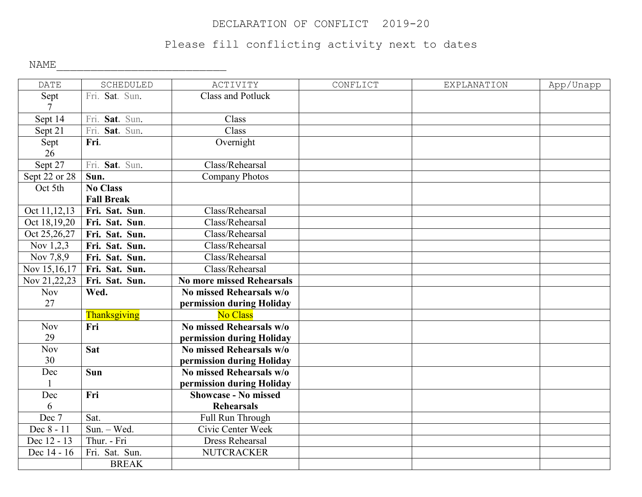## DECLARATION OF CONFLICT 2019-20

## Please fill conflicting activity next to dates

NAME\_\_\_\_\_\_\_\_\_\_\_\_\_\_\_\_\_\_\_\_\_\_\_\_\_

| <b>DATE</b>     | SCHEDULED         | ACTIVITY                         | CONFLICT | <b>EXPLANATION</b> | App/Unapp |
|-----------------|-------------------|----------------------------------|----------|--------------------|-----------|
| Sept            | Fri. Sat. Sun.    | <b>Class and Potluck</b>         |          |                    |           |
| $\overline{7}$  |                   |                                  |          |                    |           |
| Sept 14         | Fri. Sat. Sun.    | Class                            |          |                    |           |
| Sept 21         | Fri. Sat. Sun.    | Class                            |          |                    |           |
| Sept            | Fri.              | Overnight                        |          |                    |           |
| 26              |                   |                                  |          |                    |           |
| Sept 27         | Fri. Sat. Sun.    | Class/Rehearsal                  |          |                    |           |
| Sept 22 or $28$ | Sun.              | <b>Company Photos</b>            |          |                    |           |
| Oct 5th         | <b>No Class</b>   |                                  |          |                    |           |
|                 | <b>Fall Break</b> |                                  |          |                    |           |
| Oct 11,12,13    | Fri. Sat. Sun.    | Class/Rehearsal                  |          |                    |           |
| Oct 18,19,20    | Fri. Sat. Sun.    | Class/Rehearsal                  |          |                    |           |
| Oct 25,26,27    | Fri. Sat. Sun.    | Class/Rehearsal                  |          |                    |           |
| Nov 1,2,3       | Fri. Sat. Sun.    | Class/Rehearsal                  |          |                    |           |
| Nov 7,8,9       | Fri. Sat. Sun.    | Class/Rehearsal                  |          |                    |           |
| Nov 15,16,17    | Fri. Sat. Sun.    | Class/Rehearsal                  |          |                    |           |
| Nov 21,22,23    | Fri. Sat. Sun.    | <b>No more missed Rehearsals</b> |          |                    |           |
| <b>Nov</b>      | Wed.              | No missed Rehearsals w/o         |          |                    |           |
| 27              |                   | permission during Holiday        |          |                    |           |
|                 | Thanksgiving      | <b>No Class</b>                  |          |                    |           |
| <b>Nov</b>      | Fri               | No missed Rehearsals w/o         |          |                    |           |
| 29              |                   | permission during Holiday        |          |                    |           |
| <b>Nov</b>      | Sat               | No missed Rehearsals w/o         |          |                    |           |
| 30              |                   | permission during Holiday        |          |                    |           |
| Dec             | <b>Sun</b>        | No missed Rehearsals w/o         |          |                    |           |
|                 |                   | permission during Holiday        |          |                    |           |
| Dec             | Fri               | <b>Showcase - No missed</b>      |          |                    |           |
| 6               |                   | <b>Rehearsals</b>                |          |                    |           |
| Dec 7           | Sat.              | Full Run Through                 |          |                    |           |
| Dec 8 - 11      | Sun. - Wed.       | Civic Center Week                |          |                    |           |
| Dec 12 - 13     | Thur. - Fri       | <b>Dress Rehearsal</b>           |          |                    |           |
| Dec 14 - 16     | Fri. Sat. Sun.    | <b>NUTCRACKER</b>                |          |                    |           |
|                 | <b>BREAK</b>      |                                  |          |                    |           |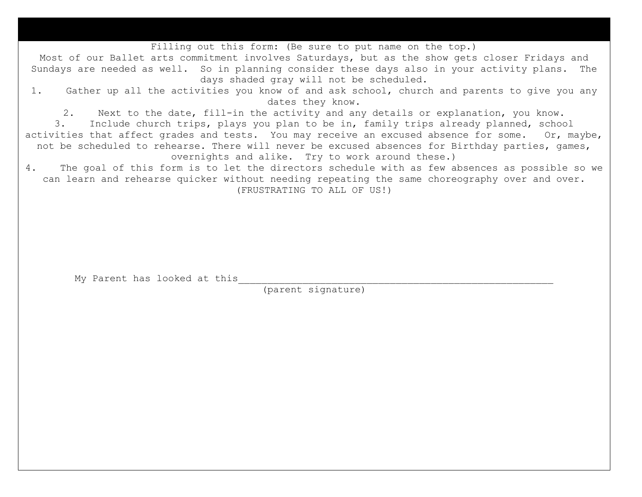Filling out this form: (Be sure to put name on the top.)

Most of our Ballet arts commitment involves Saturdays, but as the show gets closer Fridays and Sundays are needed as well. So in planning consider these days also in your activity plans. The days shaded gray will not be scheduled.

1. Gather up all the activities you know of and ask school, church and parents to give you any dates they know.

2. Next to the date, fill-in the activity and any details or explanation, you know.<br>3. Include church trips, plavs vou plan to be in, family trips already planned, schoo

Include church trips, plays you plan to be in, family trips already planned, school activities that affect grades and tests. You may receive an excused absence for some. Or, maybe, not be scheduled to rehearse. There will never be excused absences for Birthday parties, games, overnights and alike. Try to work around these.)

4. The goal of this form is to let the directors schedule with as few absences as possible so we can learn and rehearse quicker without needing repeating the same choreography over and over. (FRUSTRATING TO ALL OF US!)

My Parent has looked at this

(parent signature)